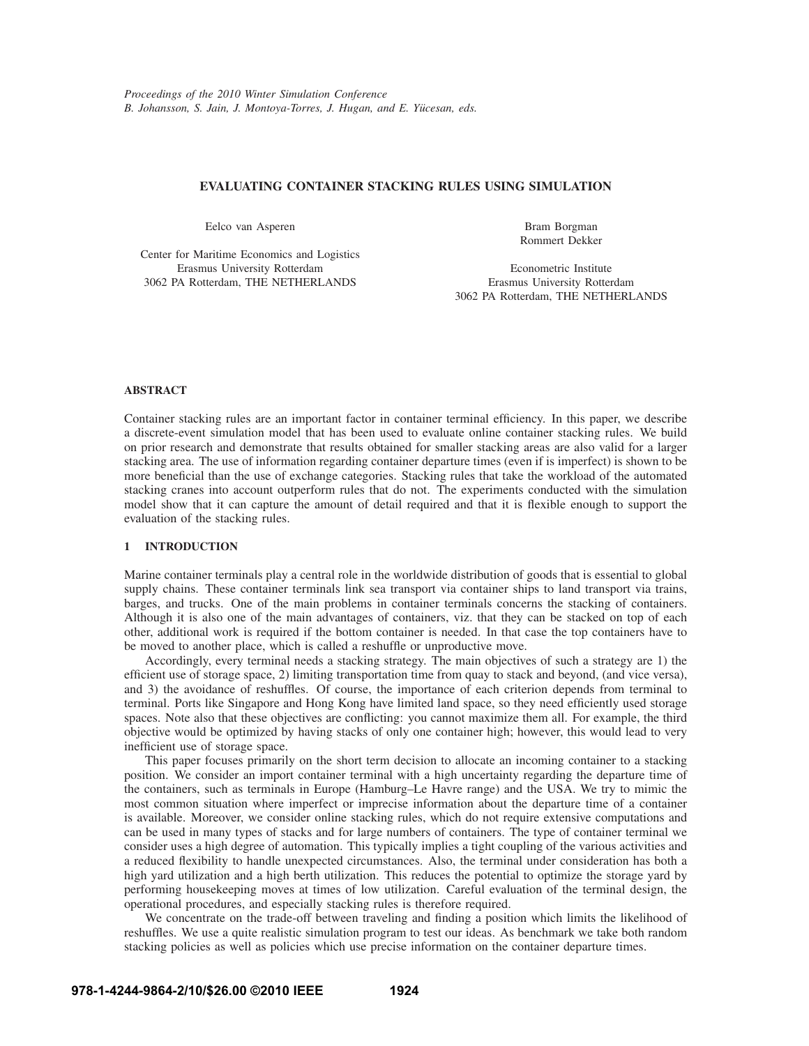# **EVALUATING CONTAINER STACKING RULES USING SIMULATION**

Eelco van Asperen

Center for Maritime Economics and Logistics Erasmus University Rotterdam 3062 PA Rotterdam, THE NETHERLANDS

Bram Borgman Rommert Dekker

Econometric Institute Erasmus University Rotterdam 3062 PA Rotterdam, THE NETHERLANDS

# **ABSTRACT**

Container stacking rules are an important factor in container terminal efficiency. In this paper, we describe a discrete-event simulation model that has been used to evaluate online container stacking rules. We build on prior research and demonstrate that results obtained for smaller stacking areas are also valid for a larger stacking area. The use of information regarding container departure times (even if is imperfect) is shown to be more beneficial than the use of exchange categories. Stacking rules that take the workload of the automated stacking cranes into account outperform rules that do not. The experiments conducted with the simulation model show that it can capture the amount of detail required and that it is flexible enough to support the evaluation of the stacking rules.

## **1 INTRODUCTION**

Marine container terminals play a central role in the worldwide distribution of goods that is essential to global supply chains. These container terminals link sea transport via container ships to land transport via trains, barges, and trucks. One of the main problems in container terminals concerns the stacking of containers. Although it is also one of the main advantages of containers, viz. that they can be stacked on top of each other, additional work is required if the bottom container is needed. In that case the top containers have to be moved to another place, which is called a reshuffle or unproductive move.

Accordingly, every terminal needs a stacking strategy. The main objectives of such a strategy are 1) the efficient use of storage space, 2) limiting transportation time from quay to stack and beyond, (and vice versa), and 3) the avoidance of reshuffles. Of course, the importance of each criterion depends from terminal to terminal. Ports like Singapore and Hong Kong have limited land space, so they need efficiently used storage spaces. Note also that these objectives are conflicting: you cannot maximize them all. For example, the third objective would be optimized by having stacks of only one container high; however, this would lead to very inefficient use of storage space.

This paper focuses primarily on the short term decision to allocate an incoming container to a stacking position. We consider an import container terminal with a high uncertainty regarding the departure time of the containers, such as terminals in Europe (Hamburg–Le Havre range) and the USA. We try to mimic the most common situation where imperfect or imprecise information about the departure time of a container is available. Moreover, we consider online stacking rules, which do not require extensive computations and can be used in many types of stacks and for large numbers of containers. The type of container terminal we consider uses a high degree of automation. This typically implies a tight coupling of the various activities and a reduced flexibility to handle unexpected circumstances. Also, the terminal under consideration has both a high yard utilization and a high berth utilization. This reduces the potential to optimize the storage yard by performing housekeeping moves at times of low utilization. Careful evaluation of the terminal design, the operational procedures, and especially stacking rules is therefore required.

We concentrate on the trade-off between traveling and finding a position which limits the likelihood of reshuffles. We use a quite realistic simulation program to test our ideas. As benchmark we take both random stacking policies as well as policies which use precise information on the container departure times.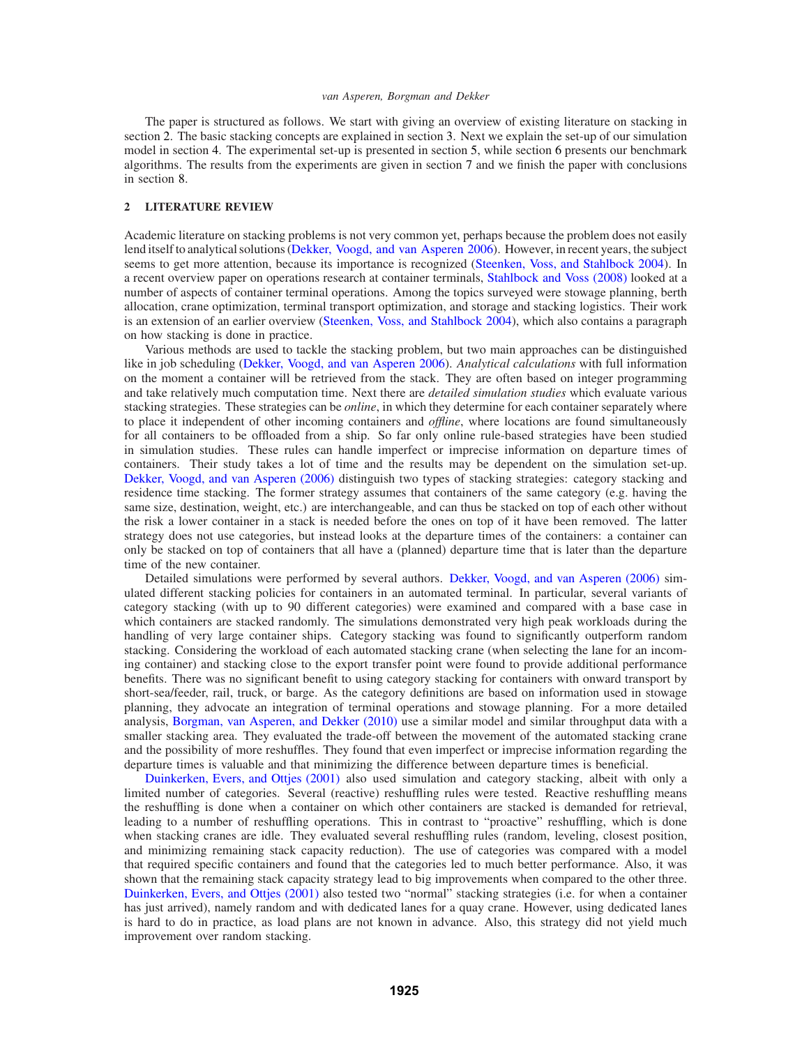The paper is structured as follows. We start with giving an overview of existing literature on stacking in section 2. The basic stacking concepts are explained in section 3. Next we explain the set-up of our simulation model in section 4. The experimental set-up is presented in section 5, while section 6 presents our benchmark algorithms. The results from the experiments are given in section 7 and we finish the paper with conclusions in section 8.

# **2 LITERATURE REVIEW**

Academic literature on stacking problems is not very common yet, perhaps because the problem does not easily lend itself to analytical solutions (Dekker, Voogd, and van Asperen 2006). However, in recent years, the subject seems to get more attention, because its importance is recognized (Steenken, Voss, and Stahlbock 2004). In a recent overview paper on operations research at container terminals, Stahlbock and Voss (2008) looked at a number of aspects of container terminal operations. Among the topics surveyed were stowage planning, berth allocation, crane optimization, terminal transport optimization, and storage and stacking logistics. Their work is an extension of an earlier overview (Steenken, Voss, and Stahlbock 2004), which also contains a paragraph on how stacking is done in practice.

Various methods are used to tackle the stacking problem, but two main approaches can be distinguished like in job scheduling (Dekker, Voogd, and van Asperen 2006). *Analytical calculations* with full information on the moment a container will be retrieved from the stack. They are often based on integer programming and take relatively much computation time. Next there are *detailed simulation studies* which evaluate various stacking strategies. These strategies can be *online*, in which they determine for each container separately where to place it independent of other incoming containers and *offline*, where locations are found simultaneously for all containers to be offloaded from a ship. So far only online rule-based strategies have been studied in simulation studies. These rules can handle imperfect or imprecise information on departure times of containers. Their study takes a lot of time and the results may be dependent on the simulation set-up. Dekker, Voogd, and van Asperen (2006) distinguish two types of stacking strategies: category stacking and residence time stacking. The former strategy assumes that containers of the same category (e.g. having the same size, destination, weight, etc.) are interchangeable, and can thus be stacked on top of each other without the risk a lower container in a stack is needed before the ones on top of it have been removed. The latter strategy does not use categories, but instead looks at the departure times of the containers: a container can only be stacked on top of containers that all have a (planned) departure time that is later than the departure time of the new container.

Detailed simulations were performed by several authors. Dekker, Voogd, and van Asperen (2006) simulated different stacking policies for containers in an automated terminal. In particular, several variants of category stacking (with up to 90 different categories) were examined and compared with a base case in which containers are stacked randomly. The simulations demonstrated very high peak workloads during the handling of very large container ships. Category stacking was found to significantly outperform random stacking. Considering the workload of each automated stacking crane (when selecting the lane for an incoming container) and stacking close to the export transfer point were found to provide additional performance benefits. There was no significant benefit to using category stacking for containers with onward transport by short-sea/feeder, rail, truck, or barge. As the category definitions are based on information used in stowage planning, they advocate an integration of terminal operations and stowage planning. For a more detailed analysis, Borgman, van Asperen, and Dekker (2010) use a similar model and similar throughput data with a smaller stacking area. They evaluated the trade-off between the movement of the automated stacking crane and the possibility of more reshuffles. They found that even imperfect or imprecise information regarding the departure times is valuable and that minimizing the difference between departure times is beneficial.

Duinkerken, Evers, and Ottjes (2001) also used simulation and category stacking, albeit with only a limited number of categories. Several (reactive) reshuffling rules were tested. Reactive reshuffling means the reshuffling is done when a container on which other containers are stacked is demanded for retrieval, leading to a number of reshuffling operations. This in contrast to "proactive" reshuffling, which is done when stacking cranes are idle. They evaluated several reshuffling rules (random, leveling, closest position, and minimizing remaining stack capacity reduction). The use of categories was compared with a model that required specific containers and found that the categories led to much better performance. Also, it was shown that the remaining stack capacity strategy lead to big improvements when compared to the other three. Duinkerken, Evers, and Ottjes (2001) also tested two "normal" stacking strategies (i.e. for when a container has just arrived), namely random and with dedicated lanes for a quay crane. However, using dedicated lanes is hard to do in practice, as load plans are not known in advance. Also, this strategy did not yield much improvement over random stacking.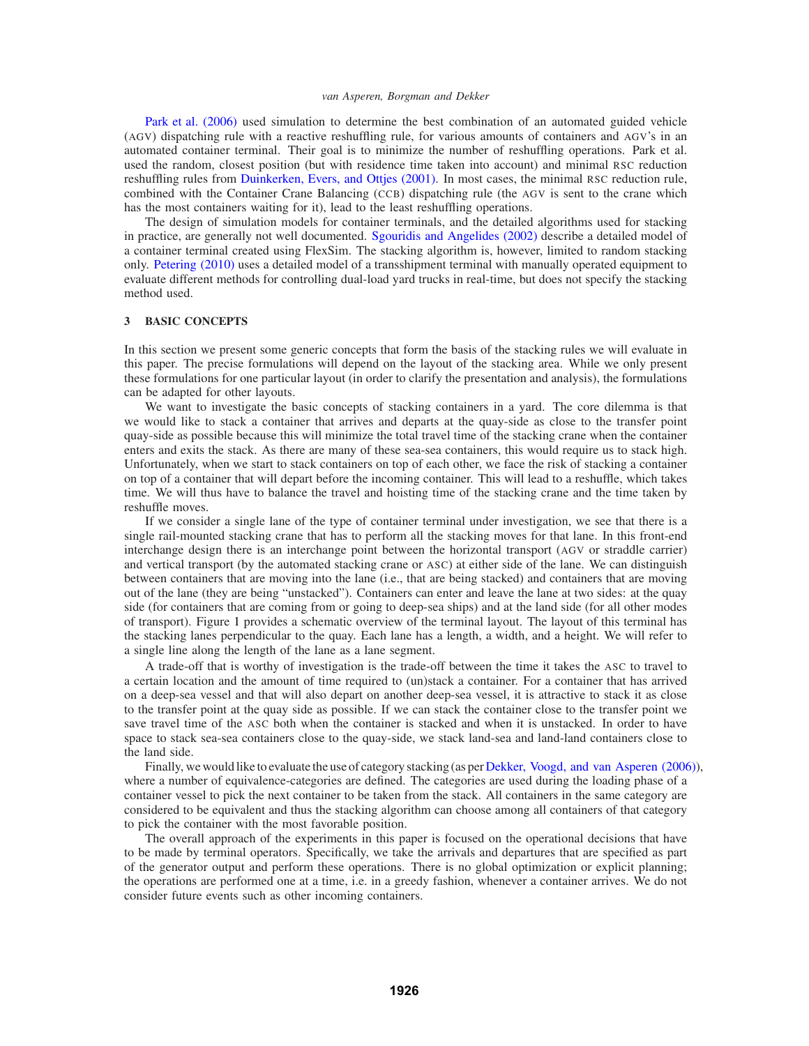Park et al. (2006) used simulation to determine the best combination of an automated guided vehicle (AGV) dispatching rule with a reactive reshuffling rule, for various amounts of containers and AGV's in an automated container terminal. Their goal is to minimize the number of reshuffling operations. Park et al. used the random, closest position (but with residence time taken into account) and minimal RSC reduction reshuffling rules from Duinkerken, Evers, and Ottjes (2001). In most cases, the minimal RSC reduction rule, combined with the Container Crane Balancing (CCB) dispatching rule (the AGV is sent to the crane which has the most containers waiting for it), lead to the least reshuffling operations.

The design of simulation models for container terminals, and the detailed algorithms used for stacking in practice, are generally not well documented. Sgouridis and Angelides (2002) describe a detailed model of a container terminal created using FlexSim. The stacking algorithm is, however, limited to random stacking only. Petering (2010) uses a detailed model of a transshipment terminal with manually operated equipment to evaluate different methods for controlling dual-load yard trucks in real-time, but does not specify the stacking method used.

### **3 BASIC CONCEPTS**

In this section we present some generic concepts that form the basis of the stacking rules we will evaluate in this paper. The precise formulations will depend on the layout of the stacking area. While we only present these formulations for one particular layout (in order to clarify the presentation and analysis), the formulations can be adapted for other layouts.

We want to investigate the basic concepts of stacking containers in a yard. The core dilemma is that we would like to stack a container that arrives and departs at the quay-side as close to the transfer point quay-side as possible because this will minimize the total travel time of the stacking crane when the container enters and exits the stack. As there are many of these sea-sea containers, this would require us to stack high. Unfortunately, when we start to stack containers on top of each other, we face the risk of stacking a container on top of a container that will depart before the incoming container. This will lead to a reshuffle, which takes time. We will thus have to balance the travel and hoisting time of the stacking crane and the time taken by reshuffle moves.

If we consider a single lane of the type of container terminal under investigation, we see that there is a single rail-mounted stacking crane that has to perform all the stacking moves for that lane. In this front-end interchange design there is an interchange point between the horizontal transport (AGV or straddle carrier) and vertical transport (by the automated stacking crane or ASC) at either side of the lane. We can distinguish between containers that are moving into the lane (i.e., that are being stacked) and containers that are moving out of the lane (they are being "unstacked"). Containers can enter and leave the lane at two sides: at the quay side (for containers that are coming from or going to deep-sea ships) and at the land side (for all other modes of transport). Figure 1 provides a schematic overview of the terminal layout. The layout of this terminal has the stacking lanes perpendicular to the quay. Each lane has a length, a width, and a height. We will refer to a single line along the length of the lane as a lane segment.

A trade-off that is worthy of investigation is the trade-off between the time it takes the ASC to travel to a certain location and the amount of time required to (un)stack a container. For a container that has arrived on a deep-sea vessel and that will also depart on another deep-sea vessel, it is attractive to stack it as close to the transfer point at the quay side as possible. If we can stack the container close to the transfer point we save travel time of the ASC both when the container is stacked and when it is unstacked. In order to have space to stack sea-sea containers close to the quay-side, we stack land-sea and land-land containers close to the land side.

Finally, we would like to evaluate the use of category stacking (as perDekker, Voogd, and van Asperen (2006)), where a number of equivalence-categories are defined. The categories are used during the loading phase of a container vessel to pick the next container to be taken from the stack. All containers in the same category are considered to be equivalent and thus the stacking algorithm can choose among all containers of that category to pick the container with the most favorable position.

The overall approach of the experiments in this paper is focused on the operational decisions that have to be made by terminal operators. Specifically, we take the arrivals and departures that are specified as part of the generator output and perform these operations. There is no global optimization or explicit planning; the operations are performed one at a time, i.e. in a greedy fashion, whenever a container arrives. We do not consider future events such as other incoming containers.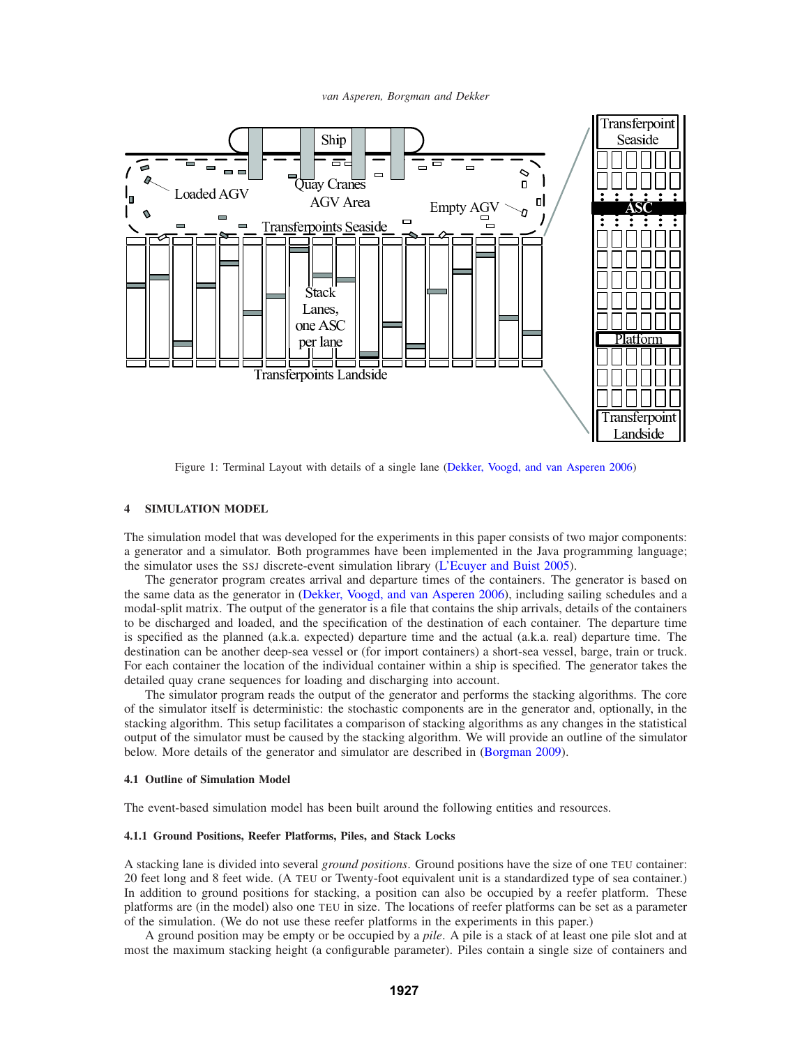*van Asperen, Borgman and Dekker*



Figure 1: Terminal Layout with details of a single lane (Dekker, Voogd, and van Asperen 2006)

# **4 SIMULATION MODEL**

The simulation model that was developed for the experiments in this paper consists of two major components: a generator and a simulator. Both programmes have been implemented in the Java programming language; the simulator uses the SSJ discrete-event simulation library (L'Ecuyer and Buist 2005).

The generator program creates arrival and departure times of the containers. The generator is based on the same data as the generator in (Dekker, Voogd, and van Asperen 2006), including sailing schedules and a modal-split matrix. The output of the generator is a file that contains the ship arrivals, details of the containers to be discharged and loaded, and the specification of the destination of each container. The departure time is specified as the planned (a.k.a. expected) departure time and the actual (a.k.a. real) departure time. The destination can be another deep-sea vessel or (for import containers) a short-sea vessel, barge, train or truck. For each container the location of the individual container within a ship is specified. The generator takes the detailed quay crane sequences for loading and discharging into account.

The simulator program reads the output of the generator and performs the stacking algorithms. The core of the simulator itself is deterministic: the stochastic components are in the generator and, optionally, in the stacking algorithm. This setup facilitates a comparison of stacking algorithms as any changes in the statistical output of the simulator must be caused by the stacking algorithm. We will provide an outline of the simulator below. More details of the generator and simulator are described in (Borgman 2009).

#### **4.1 Outline of Simulation Model**

The event-based simulation model has been built around the following entities and resources.

## **4.1.1 Ground Positions, Reefer Platforms, Piles, and Stack Locks**

A stacking lane is divided into several *ground positions*. Ground positions have the size of one TEU container: 20 feet long and 8 feet wide. (A TEU or Twenty-foot equivalent unit is a standardized type of sea container.) In addition to ground positions for stacking, a position can also be occupied by a reefer platform. These platforms are (in the model) also one TEU in size. The locations of reefer platforms can be set as a parameter of the simulation. (We do not use these reefer platforms in the experiments in this paper.)

A ground position may be empty or be occupied by a *pile*. A pile is a stack of at least one pile slot and at most the maximum stacking height (a configurable parameter). Piles contain a single size of containers and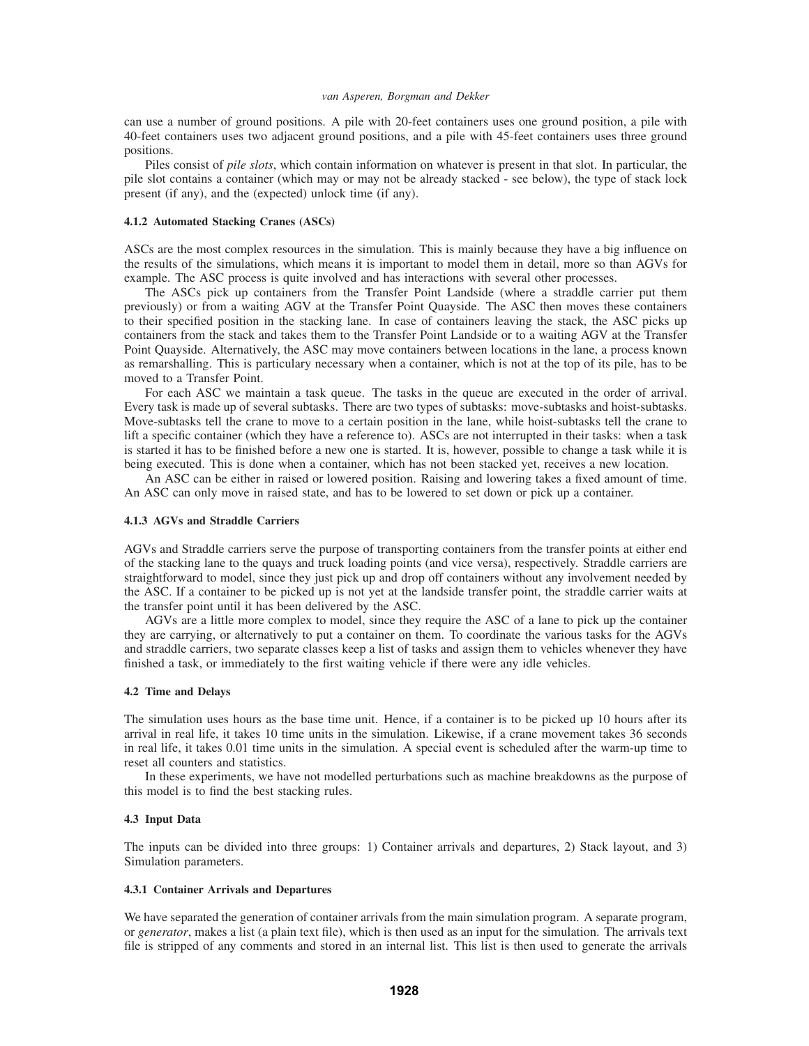can use a number of ground positions. A pile with 20-feet containers uses one ground position, a pile with 40-feet containers uses two adjacent ground positions, and a pile with 45-feet containers uses three ground positions.

Piles consist of *pile slots*, which contain information on whatever is present in that slot. In particular, the pile slot contains a container (which may or may not be already stacked - see below), the type of stack lock present (if any), and the (expected) unlock time (if any).

#### **4.1.2 Automated Stacking Cranes (ASCs)**

ASCs are the most complex resources in the simulation. This is mainly because they have a big influence on the results of the simulations, which means it is important to model them in detail, more so than AGVs for example. The ASC process is quite involved and has interactions with several other processes.

The ASCs pick up containers from the Transfer Point Landside (where a straddle carrier put them previously) or from a waiting AGV at the Transfer Point Quayside. The ASC then moves these containers to their specified position in the stacking lane. In case of containers leaving the stack, the ASC picks up containers from the stack and takes them to the Transfer Point Landside or to a waiting AGV at the Transfer Point Quayside. Alternatively, the ASC may move containers between locations in the lane, a process known as remarshalling. This is particulary necessary when a container, which is not at the top of its pile, has to be moved to a Transfer Point.

For each ASC we maintain a task queue. The tasks in the queue are executed in the order of arrival. Every task is made up of several subtasks. There are two types of subtasks: move-subtasks and hoist-subtasks. Move-subtasks tell the crane to move to a certain position in the lane, while hoist-subtasks tell the crane to lift a specific container (which they have a reference to). ASCs are not interrupted in their tasks: when a task is started it has to be finished before a new one is started. It is, however, possible to change a task while it is being executed. This is done when a container, which has not been stacked yet, receives a new location.

An ASC can be either in raised or lowered position. Raising and lowering takes a fixed amount of time. An ASC can only move in raised state, and has to be lowered to set down or pick up a container.

# **4.1.3 AGVs and Straddle Carriers**

AGVs and Straddle carriers serve the purpose of transporting containers from the transfer points at either end of the stacking lane to the quays and truck loading points (and vice versa), respectively. Straddle carriers are straightforward to model, since they just pick up and drop off containers without any involvement needed by the ASC. If a container to be picked up is not yet at the landside transfer point, the straddle carrier waits at the transfer point until it has been delivered by the ASC.

AGVs are a little more complex to model, since they require the ASC of a lane to pick up the container they are carrying, or alternatively to put a container on them. To coordinate the various tasks for the AGVs and straddle carriers, two separate classes keep a list of tasks and assign them to vehicles whenever they have finished a task, or immediately to the first waiting vehicle if there were any idle vehicles.

## **4.2 Time and Delays**

The simulation uses hours as the base time unit. Hence, if a container is to be picked up 10 hours after its arrival in real life, it takes 10 time units in the simulation. Likewise, if a crane movement takes 36 seconds in real life, it takes 0.01 time units in the simulation. A special event is scheduled after the warm-up time to reset all counters and statistics.

In these experiments, we have not modelled perturbations such as machine breakdowns as the purpose of this model is to find the best stacking rules.

# **4.3 Input Data**

The inputs can be divided into three groups: 1) Container arrivals and departures, 2) Stack layout, and 3) Simulation parameters.

#### **4.3.1 Container Arrivals and Departures**

We have separated the generation of container arrivals from the main simulation program. A separate program, or *generator*, makes a list (a plain text file), which is then used as an input for the simulation. The arrivals text file is stripped of any comments and stored in an internal list. This list is then used to generate the arrivals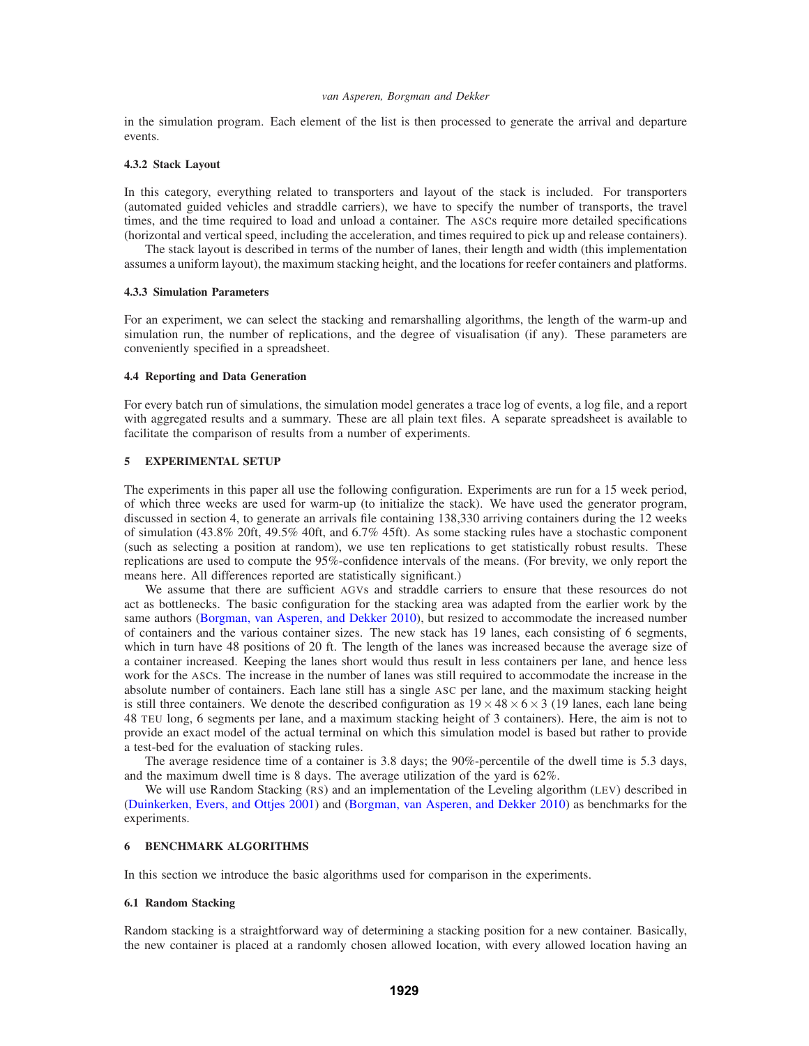in the simulation program. Each element of the list is then processed to generate the arrival and departure events.

#### **4.3.2 Stack Layout**

In this category, everything related to transporters and layout of the stack is included. For transporters (automated guided vehicles and straddle carriers), we have to specify the number of transports, the travel times, and the time required to load and unload a container. The ASCs require more detailed specifications (horizontal and vertical speed, including the acceleration, and times required to pick up and release containers).

The stack layout is described in terms of the number of lanes, their length and width (this implementation assumes a uniform layout), the maximum stacking height, and the locations for reefer containers and platforms.

### **4.3.3 Simulation Parameters**

For an experiment, we can select the stacking and remarshalling algorithms, the length of the warm-up and simulation run, the number of replications, and the degree of visualisation (if any). These parameters are conveniently specified in a spreadsheet.

## **4.4 Reporting and Data Generation**

For every batch run of simulations, the simulation model generates a trace log of events, a log file, and a report with aggregated results and a summary. These are all plain text files. A separate spreadsheet is available to facilitate the comparison of results from a number of experiments.

# **5 EXPERIMENTAL SETUP**

The experiments in this paper all use the following configuration. Experiments are run for a 15 week period, of which three weeks are used for warm-up (to initialize the stack). We have used the generator program, discussed in section 4, to generate an arrivals file containing 138,330 arriving containers during the 12 weeks of simulation (43.8% 20ft, 49.5% 40ft, and 6.7% 45ft). As some stacking rules have a stochastic component (such as selecting a position at random), we use ten replications to get statistically robust results. These replications are used to compute the 95%-confidence intervals of the means. (For brevity, we only report the means here. All differences reported are statistically significant.)

We assume that there are sufficient AGVs and straddle carriers to ensure that these resources do not act as bottlenecks. The basic configuration for the stacking area was adapted from the earlier work by the same authors (Borgman, van Asperen, and Dekker 2010), but resized to accommodate the increased number of containers and the various container sizes. The new stack has 19 lanes, each consisting of 6 segments, which in turn have 48 positions of 20 ft. The length of the lanes was increased because the average size of a container increased. Keeping the lanes short would thus result in less containers per lane, and hence less work for the ASCs. The increase in the number of lanes was still required to accommodate the increase in the absolute number of containers. Each lane still has a single ASC per lane, and the maximum stacking height is still three containers. We denote the described configuration as  $19 \times 48 \times 6 \times 3$  (19 lanes, each lane being 48 TEU long, 6 segments per lane, and a maximum stacking height of 3 containers). Here, the aim is not to provide an exact model of the actual terminal on which this simulation model is based but rather to provide a test-bed for the evaluation of stacking rules.

The average residence time of a container is 3.8 days; the 90%-percentile of the dwell time is 5.3 days, and the maximum dwell time is 8 days. The average utilization of the yard is 62%.

We will use Random Stacking (RS) and an implementation of the Leveling algorithm (LEV) described in (Duinkerken, Evers, and Ottjes 2001) and (Borgman, van Asperen, and Dekker 2010) as benchmarks for the experiments.

#### **6 BENCHMARK ALGORITHMS**

In this section we introduce the basic algorithms used for comparison in the experiments.

## **6.1 Random Stacking**

Random stacking is a straightforward way of determining a stacking position for a new container. Basically, the new container is placed at a randomly chosen allowed location, with every allowed location having an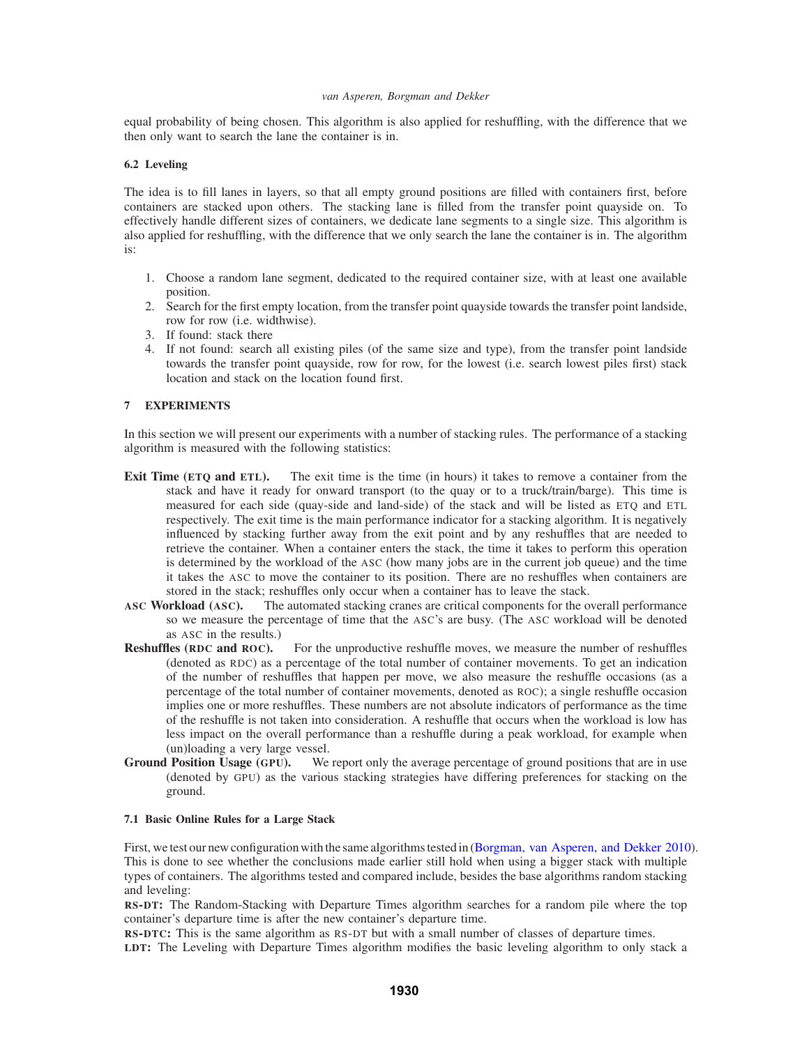equal probability of being chosen. This algorithm is also applied for reshuffling, with the difference that we then only want to search the lane the container is in.

### **6.2 Leveling**

The idea is to fill lanes in layers, so that all empty ground positions are filled with containers first, before containers are stacked upon others. The stacking lane is filled from the transfer point quayside on. To effectively handle different sizes of containers, we dedicate lane segments to a single size. This algorithm is also applied for reshuffling, with the difference that we only search the lane the container is in. The algorithm is:

- 1. Choose a random lane segment, dedicated to the required container size, with at least one available position.
- 2. Search for the first empty location, from the transfer point quayside towards the transfer point landside, row for row (i.e. widthwise).
- 3. If found: stack there
- 4. If not found: search all existing piles (of the same size and type), from the transfer point landside towards the transfer point quayside, row for row, for the lowest (i.e. search lowest piles first) stack location and stack on the location found first.

# **7 EXPERIMENTS**

In this section we will present our experiments with a number of stacking rules. The performance of a stacking algorithm is measured with the following statistics:

- **Exit Time (ETQ and ETL).** The exit time is the time (in hours) it takes to remove a container from the stack and have it ready for onward transport (to the quay or to a truck/train/barge). This time is measured for each side (quay-side and land-side) of the stack and will be listed as ETQ and ETL respectively. The exit time is the main performance indicator for a stacking algorithm. It is negatively influenced by stacking further away from the exit point and by any reshuffles that are needed to retrieve the container. When a container enters the stack, the time it takes to perform this operation is determined by the workload of the ASC (how many jobs are in the current job queue) and the time it takes the ASC to move the container to its position. There are no reshuffles when containers are stored in the stack; reshuffles only occur when a container has to leave the stack.<br>ASC Workload (ASC). The automated stacking cranes are critical components for the or
- The automated stacking cranes are critical components for the overall performance so we measure the percentage of time that the ASC's are busy. (The ASC workload will be denoted as ASC in the results.)
- **Reshuffles (RDC and ROC).** For the unproductive reshuffle moves, we measure the number of reshuffles (denoted as RDC) as a percentage of the total number of container movements. To get an indication of the number of reshuffles that happen per move, we also measure the reshuffle occasions (as a percentage of the total number of container movements, denoted as ROC); a single reshuffle occasion implies one or more reshuffles. These numbers are not absolute indicators of performance as the time of the reshuffle is not taken into consideration. A reshuffle that occurs when the workload is low has less impact on the overall performance than a reshuffle during a peak workload, for example when (un)loading a very large vessel.
- **Ground Position Usage (GPU).** We report only the average percentage of ground positions that are in use (denoted by GPU) as the various stacking strategies have differing preferences for stacking on the ground.

# **7.1 Basic Online Rules for a Large Stack**

First, we test our new configuration with the same algorithms tested in (Borgman, van Asperen, and Dekker 2010). This is done to see whether the conclusions made earlier still hold when using a bigger stack with multiple types of containers. The algorithms tested and compared include, besides the base algorithms random stacking and leveling:

**RS-DT:** The Random-Stacking with Departure Times algorithm searches for a random pile where the top container's departure time is after the new container's departure time.

**RS-DTC:** This is the same algorithm as RS-DT but with a small number of classes of departure times.

**LDT:** The Leveling with Departure Times algorithm modifies the basic leveling algorithm to only stack a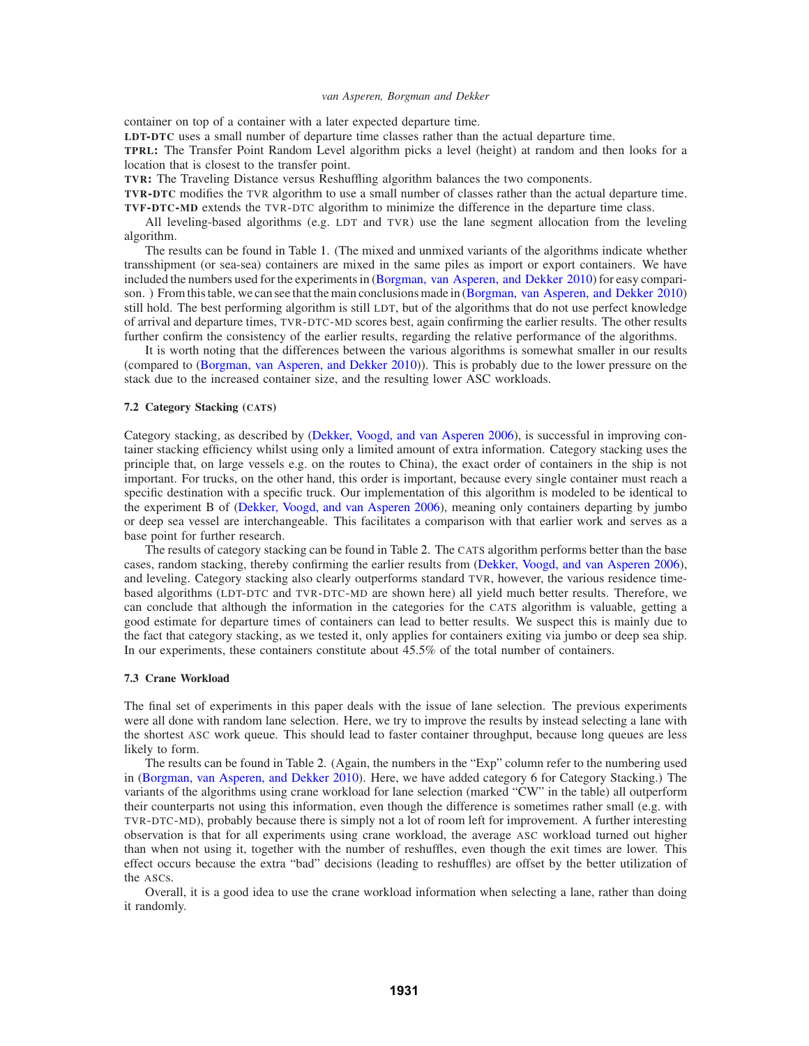container on top of a container with a later expected departure time.

**LDT-DTC** uses a small number of departure time classes rather than the actual departure time.

**TPRL:** The Transfer Point Random Level algorithm picks a level (height) at random and then looks for a location that is closest to the transfer point.

**TVR:** The Traveling Distance versus Reshuffling algorithm balances the two components.

**TVR-DTC** modifies the TVR algorithm to use a small number of classes rather than the actual departure time. **TVF-DTC-MD** extends the TVR-DTC algorithm to minimize the difference in the departure time class.

All leveling-based algorithms (e.g. LDT and TVR) use the lane segment allocation from the leveling algorithm.

The results can be found in Table 1. (The mixed and unmixed variants of the algorithms indicate whether transshipment (or sea-sea) containers are mixed in the same piles as import or export containers. We have included the numbers used for the experiments in (Borgman, van Asperen, and Dekker 2010) for easy comparison. ) From this table, we can see that the main conclusions made in (Borgman, van Asperen, and Dekker 2010) still hold. The best performing algorithm is still LDT, but of the algorithms that do not use perfect knowledge of arrival and departure times, TVR-DTC-MD scores best, again confirming the earlier results. The other results further confirm the consistency of the earlier results, regarding the relative performance of the algorithms.

It is worth noting that the differences between the various algorithms is somewhat smaller in our results (compared to (Borgman, van Asperen, and Dekker 2010)). This is probably due to the lower pressure on the stack due to the increased container size, and the resulting lower ASC workloads.

### **7.2 Category Stacking (CATS)**

Category stacking, as described by (Dekker, Voogd, and van Asperen 2006), is successful in improving container stacking efficiency whilst using only a limited amount of extra information. Category stacking uses the principle that, on large vessels e.g. on the routes to China), the exact order of containers in the ship is not important. For trucks, on the other hand, this order is important, because every single container must reach a specific destination with a specific truck. Our implementation of this algorithm is modeled to be identical to the experiment B of (Dekker, Voogd, and van Asperen 2006), meaning only containers departing by jumbo or deep sea vessel are interchangeable. This facilitates a comparison with that earlier work and serves as a base point for further research.

The results of category stacking can be found in Table 2. The CATS algorithm performs better than the base cases, random stacking, thereby confirming the earlier results from (Dekker, Voogd, and van Asperen 2006), and leveling. Category stacking also clearly outperforms standard TVR, however, the various residence timebased algorithms (LDT-DTC and TVR-DTC-MD are shown here) all yield much better results. Therefore, we can conclude that although the information in the categories for the CATS algorithm is valuable, getting a good estimate for departure times of containers can lead to better results. We suspect this is mainly due to the fact that category stacking, as we tested it, only applies for containers exiting via jumbo or deep sea ship. In our experiments, these containers constitute about 45.5% of the total number of containers.

### **7.3 Crane Workload**

The final set of experiments in this paper deals with the issue of lane selection. The previous experiments were all done with random lane selection. Here, we try to improve the results by instead selecting a lane with the shortest ASC work queue. This should lead to faster container throughput, because long queues are less likely to form.

The results can be found in Table 2. (Again, the numbers in the "Exp" column refer to the numbering used in (Borgman, van Asperen, and Dekker 2010). Here, we have added category 6 for Category Stacking.) The variants of the algorithms using crane workload for lane selection (marked "CW" in the table) all outperform their counterparts not using this information, even though the difference is sometimes rather small (e.g. with TVR-DTC-MD), probably because there is simply not a lot of room left for improvement. A further interesting observation is that for all experiments using crane workload, the average ASC workload turned out higher than when not using it, together with the number of reshuffles, even though the exit times are lower. This effect occurs because the extra "bad" decisions (leading to reshuffles) are offset by the better utilization of the ASCs.

Overall, it is a good idea to use the crane workload information when selecting a lane, rather than doing it randomly.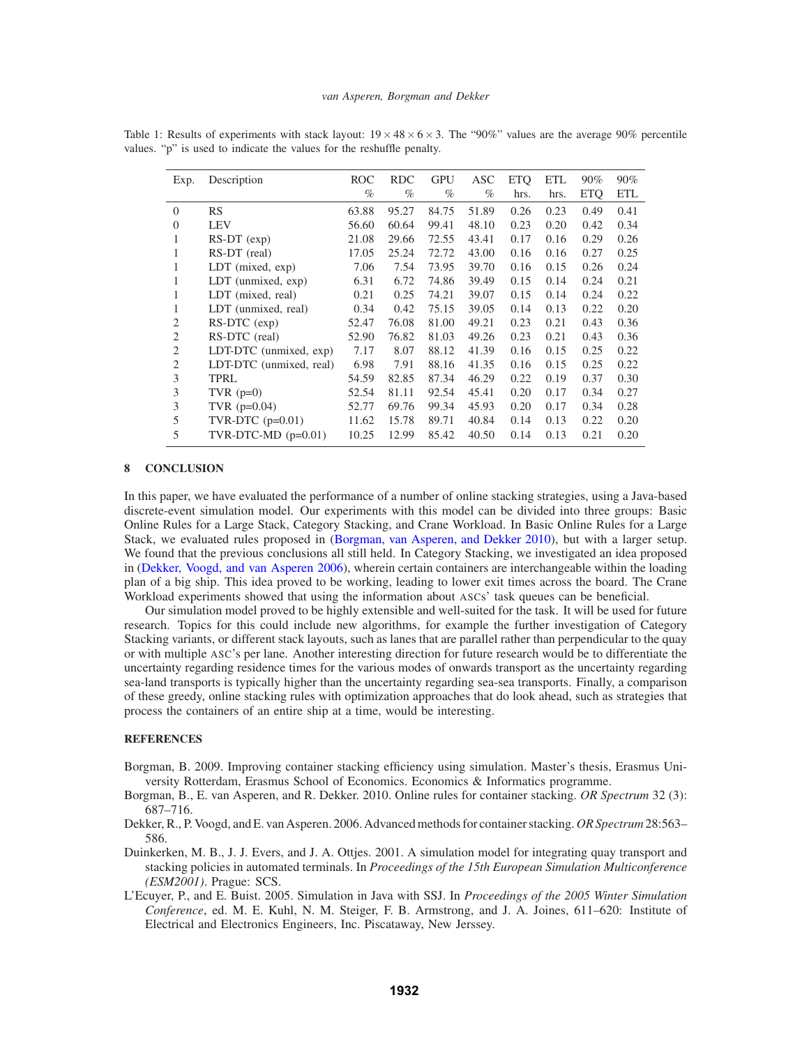| Exp.           | Description             | <b>ROC</b> | <b>RDC</b> | <b>GPU</b> | ASC   | <b>ETQ</b> | <b>ETL</b> | $90\%$     | 90%        |
|----------------|-------------------------|------------|------------|------------|-------|------------|------------|------------|------------|
|                |                         | $\%$       | $\%$       | $\%$       | $\%$  | hrs.       | hrs.       | <b>ETQ</b> | <b>ETL</b> |
| $\overline{0}$ | RS                      | 63.88      | 95.27      | 84.75      | 51.89 | 0.26       | 0.23       | 0.49       | 0.41       |
| $\overline{0}$ | <b>LEV</b>              | 56.60      | 60.64      | 99.41      | 48.10 | 0.23       | 0.20       | 0.42       | 0.34       |
| 1              | $RS-DT$ (exp)           | 21.08      | 29.66      | 72.55      | 43.41 | 0.17       | 0.16       | 0.29       | 0.26       |
| 1              | RS-DT (real)            | 17.05      | 25.24      | 72.72      | 43.00 | 0.16       | 0.16       | 0.27       | 0.25       |
| 1              | $LDT$ (mixed, $exp$ )   | 7.06       | 7.54       | 73.95      | 39.70 | 0.16       | 0.15       | 0.26       | 0.24       |
| 1              | LDT (unmixed, exp)      | 6.31       | 6.72       | 74.86      | 39.49 | 0.15       | 0.14       | 0.24       | 0.21       |
| 1              | LDT (mixed, real)       | 0.21       | 0.25       | 74.21      | 39.07 | 0.15       | 0.14       | 0.24       | 0.22       |
| 1              | LDT (unmixed, real)     | 0.34       | 0.42       | 75.15      | 39.05 | 0.14       | 0.13       | 0.22       | 0.20       |
| $\overline{c}$ | RS-DTC (exp)            | 52.47      | 76.08      | 81.00      | 49.21 | 0.23       | 0.21       | 0.43       | 0.36       |
| $\overline{c}$ | RS-DTC (real)           | 52.90      | 76.82      | 81.03      | 49.26 | 0.23       | 0.21       | 0.43       | 0.36       |
| $\overline{c}$ | LDT-DTC (unmixed, exp)  | 7.17       | 8.07       | 88.12      | 41.39 | 0.16       | 0.15       | 0.25       | 0.22       |
| $\overline{c}$ | LDT-DTC (unmixed, real) | 6.98       | 7.91       | 88.16      | 41.35 | 0.16       | 0.15       | 0.25       | 0.22       |
| 3              | <b>TPRL</b>             | 54.59      | 82.85      | 87.34      | 46.29 | 0.22       | 0.19       | 0.37       | 0.30       |
| 3              | TVR $(p=0)$             | 52.54      | 81.11      | 92.54      | 45.41 | 0.20       | 0.17       | 0.34       | 0.27       |
| 3              | TVR $(p=0.04)$          | 52.77      | 69.76      | 99.34      | 45.93 | 0.20       | 0.17       | 0.34       | 0.28       |
| 5              | TVR-DTC $(p=0.01)$      | 11.62      | 15.78      | 89.71      | 40.84 | 0.14       | 0.13       | 0.22       | 0.20       |
| 5              | TVR-DTC-MD $(p=0.01)$   | 10.25      | 12.99      | 85.42      | 40.50 | 0.14       | 0.13       | 0.21       | 0.20       |
|                |                         |            |            |            |       |            |            |            |            |

Table 1: Results of experiments with stack layout:  $19 \times 48 \times 6 \times 3$ . The "90%" values are the average 90% percentile values. "p" is used to indicate the values for the reshuffle penalty.

#### **8 CONCLUSION**

In this paper, we have evaluated the performance of a number of online stacking strategies, using a Java-based discrete-event simulation model. Our experiments with this model can be divided into three groups: Basic Online Rules for a Large Stack, Category Stacking, and Crane Workload. In Basic Online Rules for a Large Stack, we evaluated rules proposed in (Borgman, van Asperen, and Dekker 2010), but with a larger setup. We found that the previous conclusions all still held. In Category Stacking, we investigated an idea proposed in (Dekker, Voogd, and van Asperen 2006), wherein certain containers are interchangeable within the loading plan of a big ship. This idea proved to be working, leading to lower exit times across the board. The Crane Workload experiments showed that using the information about ASCs' task queues can be beneficial.

Our simulation model proved to be highly extensible and well-suited for the task. It will be used for future research. Topics for this could include new algorithms, for example the further investigation of Category Stacking variants, or different stack layouts, such as lanes that are parallel rather than perpendicular to the quay or with multiple ASC's per lane. Another interesting direction for future research would be to differentiate the uncertainty regarding residence times for the various modes of onwards transport as the uncertainty regarding sea-land transports is typically higher than the uncertainty regarding sea-sea transports. Finally, a comparison of these greedy, online stacking rules with optimization approaches that do look ahead, such as strategies that process the containers of an entire ship at a time, would be interesting.

# **REFERENCES**

- Borgman, B. 2009. Improving container stacking efficiency using simulation. Master's thesis, Erasmus University Rotterdam, Erasmus School of Economics. Economics & Informatics programme.
- Borgman, B., E. van Asperen, and R. Dekker. 2010. Online rules for container stacking. *OR Spectrum* 32 (3): 687–716.
- Dekker, R., P. Voogd, and E. van Asperen. 2006. Advanced methods for container stacking. *OR Spectrum*28:563– 586.
- Duinkerken, M. B., J. J. Evers, and J. A. Ottjes. 2001. A simulation model for integrating quay transport and stacking policies in automated terminals. In *Proceedings of the 15th European Simulation Multiconference (ESM2001)*. Prague: SCS.
- L'Ecuyer, P., and E. Buist. 2005. Simulation in Java with SSJ. In *Proceedings of the 2005 Winter Simulation Conference*, ed. M. E. Kuhl, N. M. Steiger, F. B. Armstrong, and J. A. Joines, 611–620: Institute of Electrical and Electronics Engineers, Inc. Piscataway, New Jerssey.